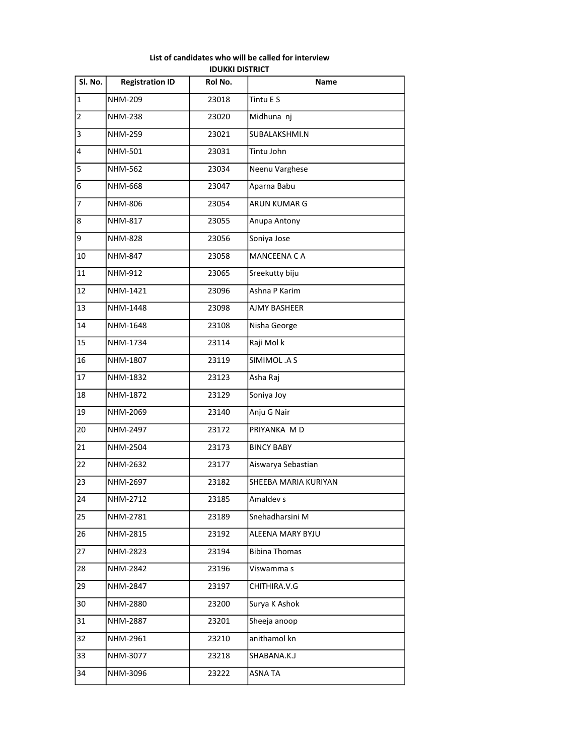| Sl. No.        | <b>Registration ID</b> | Rol No. | Name                 |
|----------------|------------------------|---------|----------------------|
| $\overline{1}$ | <b>NHM-209</b>         | 23018   | Tintu E S            |
| $\overline{2}$ | <b>NHM-238</b>         | 23020   | Midhuna nj           |
| 3              | <b>NHM-259</b>         | 23021   | SUBALAKSHMI.N        |
| 4              | <b>NHM-501</b>         | 23031   | Tintu John           |
| 5              | NHM-562                | 23034   | Neenu Varghese       |
| 6              | NHM-668                | 23047   | Aparna Babu          |
| 7              | NHM-806                | 23054   | ARUN KUMAR G         |
| 8              | NHM-817                | 23055   | Anupa Antony         |
| 9              | <b>NHM-828</b>         | 23056   | Soniya Jose          |
| 10             | <b>NHM-847</b>         | 23058   | <b>MANCEENA CA</b>   |
| 11             | NHM-912                | 23065   | Sreekutty biju       |
| 12             | NHM-1421               | 23096   | Ashna P Karim        |
| 13             | NHM-1448               | 23098   | <b>AJMY BASHEER</b>  |
| 14             | NHM-1648               | 23108   | Nisha George         |
| 15             | NHM-1734               | 23114   | Raji Mol k           |
| 16             | NHM-1807               | 23119   | SIMIMOL .A S         |
| 17             | NHM-1832               | 23123   | Asha Raj             |
| 18             | NHM-1872               | 23129   | Soniya Joy           |
| 19             | NHM-2069               | 23140   | Anju G Nair          |
| 20             | NHM-2497               | 23172   | PRIYANKA MD          |
| 21             | NHM-2504               | 23173   | <b>BINCY BABY</b>    |
| 22             | NHM-2632               | 23177   | Aiswarya Sebastian   |
| 23             | NHM-2697               | 23182   | SHEEBA MARIA KURIYAN |
| 24             | NHM-2712               | 23185   | Amaldev s            |
| 25             | NHM-2781               | 23189   | Snehadharsini M      |
| 26             | NHM-2815               | 23192   | ALEENA MARY BYJU     |
| 27             | NHM-2823               | 23194   | <b>Bibina Thomas</b> |
| 28             | NHM-2842               | 23196   | Viswamma s           |
| 29             | NHM-2847               | 23197   | CHITHIRA.V.G         |
| 30             | NHM-2880               | 23200   | Surya K Ashok        |
| 31             | NHM-2887               | 23201   | Sheeja anoop         |
| 32             | NHM-2961               | 23210   | anithamol kn         |
| 33             | NHM-3077               | 23218   | SHABANA.K.J          |
| 34             | NHM-3096               | 23222   | <b>ASNA TA</b>       |

## List of candidates who will be called for interview IDUKKI DISTRICT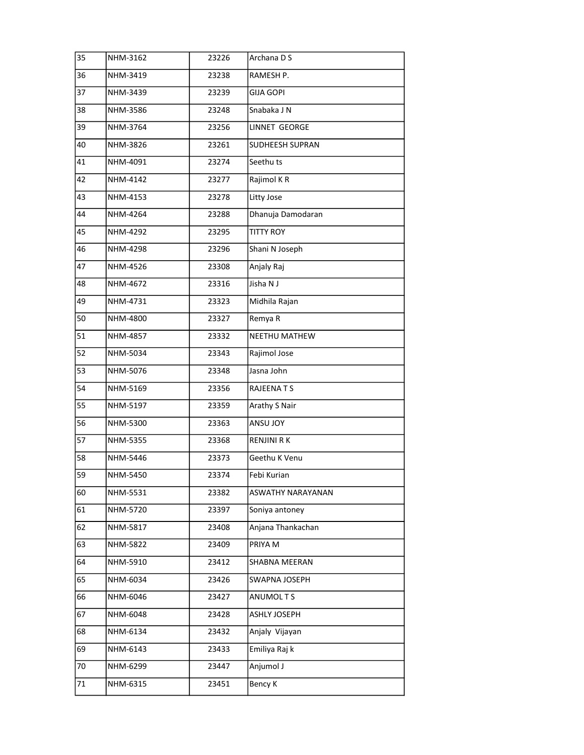| 35 | NHM-3162 | 23226 | Archana D S              |
|----|----------|-------|--------------------------|
| 36 | NHM-3419 | 23238 | RAMESH P.                |
| 37 | NHM-3439 | 23239 | <b>GIJA GOPI</b>         |
| 38 | NHM-3586 | 23248 | Snabaka J N              |
| 39 | NHM-3764 | 23256 | LINNET GEORGE            |
| 40 | NHM-3826 | 23261 | SUDHEESH SUPRAN          |
| 41 | NHM-4091 | 23274 | Seethu ts                |
| 42 | NHM-4142 | 23277 | Rajimol KR               |
| 43 | NHM-4153 | 23278 | Litty Jose               |
| 44 | NHM-4264 | 23288 | Dhanuja Damodaran        |
| 45 | NHM-4292 | 23295 | <b>TITTY ROY</b>         |
| 46 | NHM-4298 | 23296 | Shani N Joseph           |
| 47 | NHM-4526 | 23308 | Anjaly Raj               |
| 48 | NHM-4672 | 23316 | Jisha N J                |
| 49 | NHM-4731 | 23323 | Midhila Rajan            |
| 50 | NHM-4800 | 23327 | Remya R                  |
| 51 | NHM-4857 | 23332 | <b>NEETHU MATHEW</b>     |
| 52 | NHM-5034 | 23343 | Rajimol Jose             |
| 53 | NHM-5076 | 23348 | Jasna John               |
| 54 | NHM-5169 | 23356 | RAJEENA T S              |
| 55 | NHM-5197 | 23359 | Arathy S Nair            |
| 56 | NHM-5300 | 23363 | <b>ANSU JOY</b>          |
| 57 | NHM-5355 | 23368 | RENJINI RK               |
| 58 | NHM-5446 | 23373 | Geethu K Venu            |
| 59 | NHM-5450 | 23374 | Febi Kurian              |
| 60 | NHM-5531 | 23382 | <b>ASWATHY NARAYANAN</b> |
| 61 | NHM-5720 | 23397 | Soniya antoney           |
| 62 | NHM-5817 | 23408 | Anjana Thankachan        |
| 63 | NHM-5822 | 23409 | PRIYA M                  |
| 64 | NHM-5910 | 23412 | SHABNA MEERAN            |
| 65 | NHM-6034 | 23426 | SWAPNA JOSEPH            |
| 66 | NHM-6046 | 23427 | ANUMOLTS                 |
| 67 | NHM-6048 | 23428 | <b>ASHLY JOSEPH</b>      |
| 68 | NHM-6134 | 23432 | Anjaly Vijayan           |
| 69 | NHM-6143 | 23433 | Emiliya Raj k            |
| 70 | NHM-6299 | 23447 | Anjumol J                |
| 71 | NHM-6315 | 23451 | Bency K                  |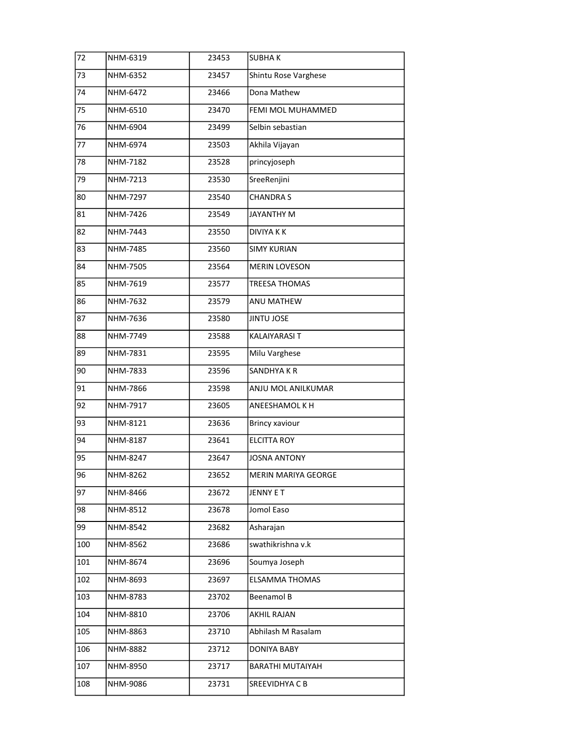| 72  | NHM-6319 | 23453 | <b>SUBHAK</b>              |
|-----|----------|-------|----------------------------|
| 73  | NHM-6352 | 23457 | Shintu Rose Varghese       |
| 74  | NHM-6472 | 23466 | Dona Mathew                |
| 75  | NHM-6510 | 23470 | FEMI MOL MUHAMMED          |
| 76  | NHM-6904 | 23499 | Selbin sebastian           |
| 77  | NHM-6974 | 23503 | Akhila Vijayan             |
| 78  | NHM-7182 | 23528 | princyjoseph               |
| 79  | NHM-7213 | 23530 | SreeRenjini                |
| 80  | NHM-7297 | 23540 | <b>CHANDRAS</b>            |
| 81  | NHM-7426 | 23549 | JAYANTHY M                 |
| 82  | NHM-7443 | 23550 | <b>DIVIYAKK</b>            |
| 83  | NHM-7485 | 23560 | <b>SIMY KURIAN</b>         |
| 84  | NHM-7505 | 23564 | <b>MERIN LOVESON</b>       |
| 85  | NHM-7619 | 23577 | <b>TREESA THOMAS</b>       |
| 86  | NHM-7632 | 23579 | ANU MATHEW                 |
| 87  | NHM-7636 | 23580 | JINTU JOSE                 |
| 88  | NHM-7749 | 23588 | <b>KALAIYARASI T</b>       |
| 89  | NHM-7831 | 23595 | Milu Varghese              |
| 90  | NHM-7833 | 23596 | SANDHYA K R                |
| 91  | NHM-7866 | 23598 | ANJU MOL ANILKUMAR         |
| 92  | NHM-7917 | 23605 | ANEESHAMOL K H             |
| 93  | NHM-8121 | 23636 | <b>Brincy xaviour</b>      |
| 94  | NHM-8187 | 23641 | <b>ELCITTA ROY</b>         |
| 95  | NHM-8247 | 23647 | JOSNA ANTONY               |
| 96  | NHM-8262 | 23652 | <b>MERIN MARIYA GEORGE</b> |
| 97  | NHM-8466 | 23672 | JENNY E T                  |
| 98  | NHM-8512 | 23678 | Jomol Easo                 |
| 99  | NHM-8542 | 23682 | Asharajan                  |
| 100 | NHM-8562 | 23686 | swathikrishna v.k          |
| 101 | NHM-8674 | 23696 | Soumya Joseph              |
| 102 | NHM-8693 | 23697 | <b>ELSAMMA THOMAS</b>      |
| 103 | NHM-8783 | 23702 | Beenamol B                 |
| 104 | NHM-8810 | 23706 | AKHIL RAJAN                |
| 105 | NHM-8863 | 23710 | Abhilash M Rasalam         |
| 106 | NHM-8882 | 23712 | DONIYA BABY                |
| 107 | NHM-8950 | 23717 | BARATHI MUTAIYAH           |
| 108 | NHM-9086 | 23731 | SREEVIDHYA C B             |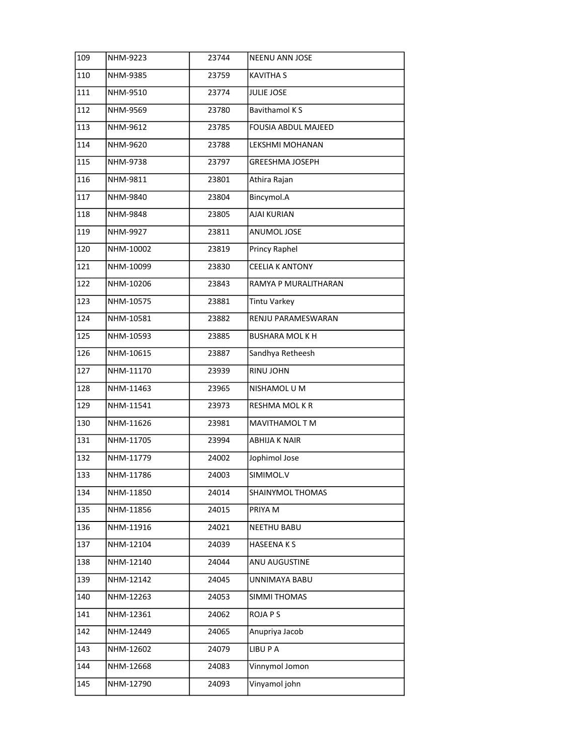| 109 | NHM-9223  | 23744 | <b>NEENU ANN JOSE</b>      |
|-----|-----------|-------|----------------------------|
| 110 | NHM-9385  | 23759 | KAVITHA S                  |
| 111 | NHM-9510  | 23774 | <b>JULIE JOSE</b>          |
| 112 | NHM-9569  | 23780 | <b>Bavithamol KS</b>       |
| 113 | NHM-9612  | 23785 | <b>FOUSIA ABDUL MAJEED</b> |
| 114 | NHM-9620  | 23788 | LEKSHMI MOHANAN            |
| 115 | NHM-9738  | 23797 | GREESHMA JOSEPH            |
| 116 | NHM-9811  | 23801 | Athira Rajan               |
| 117 | NHM-9840  | 23804 | Bincymol.A                 |
| 118 | NHM-9848  | 23805 | <b>AJAI KURIAN</b>         |
| 119 | NHM-9927  | 23811 | ANUMOL JOSE                |
| 120 | NHM-10002 | 23819 | Princy Raphel              |
| 121 | NHM-10099 | 23830 | <b>CEELIA K ANTONY</b>     |
| 122 | NHM-10206 | 23843 | RAMYA P MURALITHARAN       |
| 123 | NHM-10575 | 23881 | <b>Tintu Varkey</b>        |
| 124 | NHM-10581 | 23882 | RENJU PARAMESWARAN         |
| 125 | NHM-10593 | 23885 | <b>BUSHARA MOLKH</b>       |
| 126 | NHM-10615 | 23887 | Sandhya Retheesh           |
| 127 | NHM-11170 | 23939 | RINU JOHN                  |
| 128 | NHM-11463 | 23965 | NISHAMOL U M               |
| 129 | NHM-11541 | 23973 | RESHMA MOLKR               |
| 130 | NHM-11626 | 23981 | MAVITHAMOL T M             |
| 131 | NHM-11705 | 23994 | <b>ABHIJA K NAIR</b>       |
| 132 | NHM-11779 | 24002 | Jophimol Jose              |
| 133 | NHM-11786 | 24003 | SIMIMOL.V                  |
| 134 | NHM-11850 | 24014 | SHAINYMOL THOMAS           |
| 135 | NHM-11856 | 24015 | PRIYA M                    |
| 136 | NHM-11916 | 24021 | <b>NEETHU BABU</b>         |
| 137 | NHM-12104 | 24039 | HASEENA K S                |
| 138 | NHM-12140 | 24044 | ANU AUGUSTINE              |
| 139 | NHM-12142 | 24045 | UNNIMAYA BABU              |
| 140 | NHM-12263 | 24053 | SIMMI THOMAS               |
| 141 | NHM-12361 | 24062 | ROJA P S                   |
| 142 | NHM-12449 | 24065 | Anupriya Jacob             |
| 143 | NHM-12602 | 24079 | LIBU P A                   |
| 144 | NHM-12668 | 24083 | Vinnymol Jomon             |
| 145 | NHM-12790 | 24093 | Vinyamol john              |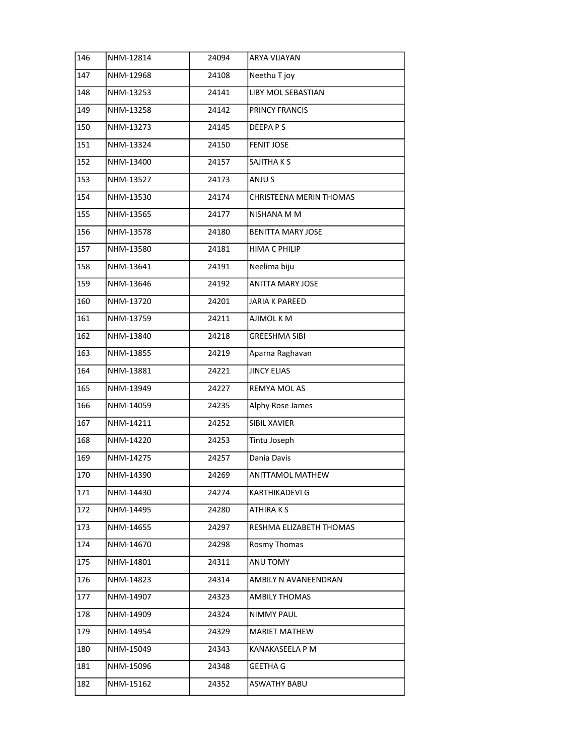| 146 | NHM-12814 | 24094 | <b>ARYA VIJAYAN</b>      |
|-----|-----------|-------|--------------------------|
| 147 | NHM-12968 | 24108 | Neethu T joy             |
| 148 | NHM-13253 | 24141 | LIBY MOL SEBASTIAN       |
| 149 | NHM-13258 | 24142 | PRINCY FRANCIS           |
| 150 | NHM-13273 | 24145 | DEEPAPS                  |
| 151 | NHM-13324 | 24150 | <b>FENIT JOSE</b>        |
| 152 | NHM-13400 | 24157 | SAJITHA K S              |
| 153 | NHM-13527 | 24173 | ANJU S                   |
| 154 | NHM-13530 | 24174 | CHRISTEENA MERIN THOMAS  |
| 155 | NHM-13565 | 24177 | NISHANA M M              |
| 156 | NHM-13578 | 24180 | <b>BENITTA MARY JOSE</b> |
| 157 | NHM-13580 | 24181 | <b>HIMA C PHILIP</b>     |
| 158 | NHM-13641 | 24191 | Neelima biju             |
| 159 | NHM-13646 | 24192 | <b>ANITTA MARY JOSE</b>  |
| 160 | NHM-13720 | 24201 | <b>JARIA K PAREED</b>    |
| 161 | NHM-13759 | 24211 | AJIMOL K M               |
| 162 | NHM-13840 | 24218 | <b>GREESHMA SIBI</b>     |
| 163 | NHM-13855 | 24219 | Aparna Raghavan          |
| 164 | NHM-13881 | 24221 | <b>JINCY ELIAS</b>       |
| 165 | NHM-13949 | 24227 | REMYA MOL AS             |
| 166 | NHM-14059 | 24235 | Alphy Rose James         |
| 167 | NHM-14211 | 24252 | SIBIL XAVIER             |
| 168 | NHM-14220 | 24253 | Tintu Joseph             |
| 169 | NHM-14275 | 24257 | Dania Davis              |
| 170 | NHM-14390 | 24269 | <b>ANITTAMOL MATHEW</b>  |
| 171 | NHM-14430 | 24274 | KARTHIKADEVI G           |
| 172 | NHM-14495 | 24280 | ATHIRA K S               |
| 173 | NHM-14655 | 24297 | RESHMA ELIZABETH THOMAS  |
| 174 | NHM-14670 | 24298 | Rosmy Thomas             |
| 175 | NHM-14801 | 24311 | ANU TOMY                 |
| 176 | NHM-14823 | 24314 | AMBILY N AVANEENDRAN     |
| 177 | NHM-14907 | 24323 | <b>AMBILY THOMAS</b>     |
| 178 | NHM-14909 | 24324 | NIMMY PAUL               |
| 179 | NHM-14954 | 24329 | <b>MARIET MATHEW</b>     |
| 180 | NHM-15049 | 24343 | KANAKASEELA P M          |
| 181 | NHM-15096 | 24348 | GEETHA G                 |
| 182 | NHM-15162 | 24352 | ASWATHY BABU             |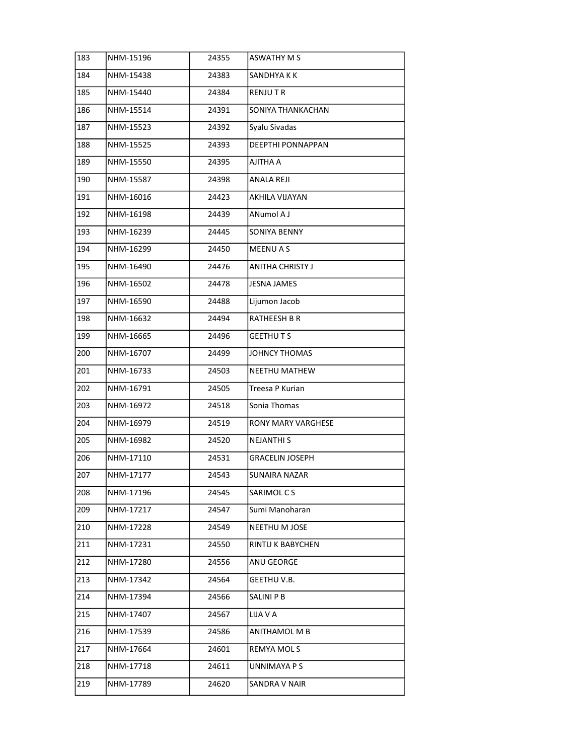| 183 | NHM-15196 | 24355 | <b>ASWATHY M S</b>     |
|-----|-----------|-------|------------------------|
| 184 | NHM-15438 | 24383 | SANDHYA K K            |
| 185 | NHM-15440 | 24384 | RENJU T R              |
| 186 | NHM-15514 | 24391 | SONIYA THANKACHAN      |
| 187 | NHM-15523 | 24392 | Syalu Sivadas          |
| 188 | NHM-15525 | 24393 | DEEPTHI PONNAPPAN      |
| 189 | NHM-15550 | 24395 | AJITHA A               |
| 190 | NHM-15587 | 24398 | ANALA REJI             |
| 191 | NHM-16016 | 24423 | AKHILA VIJAYAN         |
| 192 | NHM-16198 | 24439 | ANumol A J             |
| 193 | NHM-16239 | 24445 | <b>SONIYA BENNY</b>    |
| 194 | NHM-16299 | 24450 | <b>MEENU A S</b>       |
| 195 | NHM-16490 | 24476 | ANITHA CHRISTY J       |
| 196 | NHM-16502 | 24478 | JESNA JAMES            |
| 197 | NHM-16590 | 24488 | Lijumon Jacob          |
| 198 | NHM-16632 | 24494 | RATHEESH B R           |
| 199 | NHM-16665 | 24496 | <b>GEETHUTS</b>        |
| 200 | NHM-16707 | 24499 | JOHNCY THOMAS          |
| 201 | NHM-16733 | 24503 | <b>NEETHU MATHEW</b>   |
| 202 | NHM-16791 | 24505 | Treesa P Kurian        |
| 203 | NHM-16972 | 24518 | Sonia Thomas           |
| 204 | NHM-16979 | 24519 | RONY MARY VARGHESE     |
| 205 | NHM-16982 | 24520 | <b>NEJANTHI S</b>      |
| 206 | NHM-17110 | 24531 | <b>GRACELIN JOSEPH</b> |
| 207 | NHM-17177 | 24543 | SUNAIRA NAZAR          |
| 208 | NHM-17196 | 24545 | SARIMOL C S            |
| 209 | NHM-17217 | 24547 | Sumi Manoharan         |
| 210 | NHM-17228 | 24549 | NEETHU M JOSE          |
| 211 | NHM-17231 | 24550 | RINTU K BABYCHEN       |
| 212 | NHM-17280 | 24556 | ANU GEORGE             |
| 213 | NHM-17342 | 24564 | GEETHU V.B.            |
| 214 | NHM-17394 | 24566 | SALINI P B             |
| 215 | NHM-17407 | 24567 | LIJA V A               |
| 216 | NHM-17539 | 24586 | ANITHAMOL M B          |
| 217 | NHM-17664 | 24601 | REMYA MOL S            |
| 218 | NHM-17718 | 24611 | UNNIMAYA P S           |
| 219 | NHM-17789 | 24620 | SANDRA V NAIR          |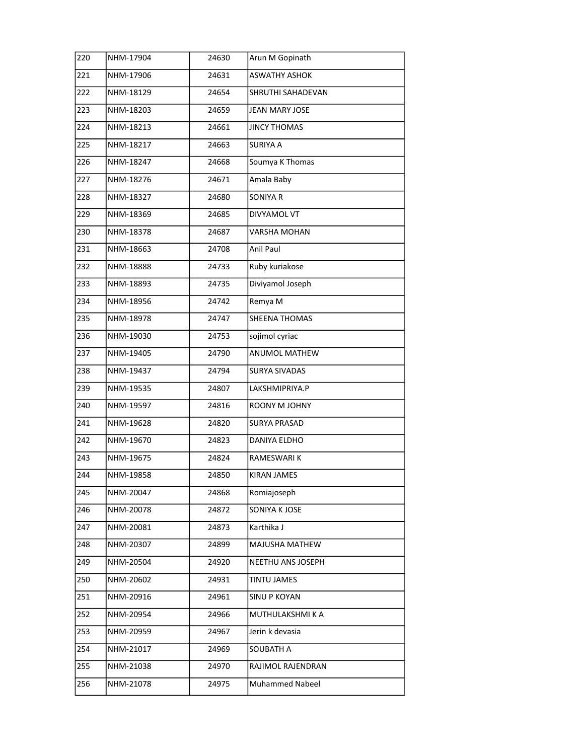| 220 | NHM-17904 | 24630 | Arun M Gopinath       |
|-----|-----------|-------|-----------------------|
| 221 | NHM-17906 | 24631 | <b>ASWATHY ASHOK</b>  |
| 222 | NHM-18129 | 24654 | SHRUTHI SAHADEVAN     |
| 223 | NHM-18203 | 24659 | <b>JEAN MARY JOSE</b> |
| 224 | NHM-18213 | 24661 | <b>JINCY THOMAS</b>   |
| 225 | NHM-18217 | 24663 | SURIYA A              |
| 226 | NHM-18247 | 24668 | Soumya K Thomas       |
| 227 | NHM-18276 | 24671 | Amala Baby            |
| 228 | NHM-18327 | 24680 | <b>SONIYA R</b>       |
| 229 | NHM-18369 | 24685 | <b>DIVYAMOL VT</b>    |
| 230 | NHM-18378 | 24687 | VARSHA MOHAN          |
| 231 | NHM-18663 | 24708 | Anil Paul             |
| 232 | NHM-18888 | 24733 | Ruby kuriakose        |
| 233 | NHM-18893 | 24735 | Diviyamol Joseph      |
| 234 | NHM-18956 | 24742 | Remya M               |
| 235 | NHM-18978 | 24747 | SHEENA THOMAS         |
| 236 | NHM-19030 | 24753 | sojimol cyriac        |
| 237 | NHM-19405 | 24790 | ANUMOL MATHEW         |
| 238 | NHM-19437 | 24794 | <b>SURYA SIVADAS</b>  |
| 239 | NHM-19535 | 24807 | LAKSHMIPRIYA.P        |
| 240 | NHM-19597 | 24816 | ROONY M JOHNY         |
| 241 | NHM-19628 | 24820 | <b>SURYA PRASAD</b>   |
| 242 | NHM-19670 | 24823 | DANIYA ELDHO          |
| 243 | NHM-19675 | 24824 | RAMESWARI K           |
| 244 | NHM-19858 | 24850 | <b>KIRAN JAMES</b>    |
| 245 | NHM-20047 | 24868 | Romiajoseph           |
| 246 | NHM-20078 | 24872 | SONIYA K JOSE         |
| 247 | NHM-20081 | 24873 | Karthika J            |
| 248 | NHM-20307 | 24899 | MAJUSHA MATHEW        |
| 249 | NHM-20504 | 24920 | NEETHU ANS JOSEPH     |
| 250 | NHM-20602 | 24931 | TINTU JAMES           |
| 251 | NHM-20916 | 24961 | <b>SINU P KOYAN</b>   |
| 252 | NHM-20954 | 24966 | MUTHULAKSHMI K A      |
| 253 | NHM-20959 | 24967 | Jerin k devasia       |
| 254 | NHM-21017 | 24969 | SOUBATH A             |
| 255 | NHM-21038 | 24970 | RAJIMOL RAJENDRAN     |
| 256 | NHM-21078 | 24975 | Muhammed Nabeel       |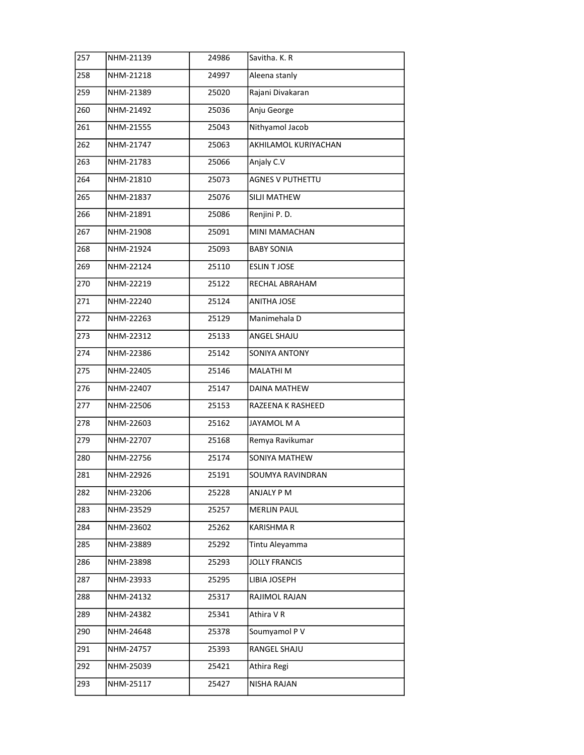| 257 | NHM-21139 | 24986 | Savitha. K. R           |
|-----|-----------|-------|-------------------------|
| 258 | NHM-21218 | 24997 | Aleena stanly           |
| 259 | NHM-21389 | 25020 | Rajani Divakaran        |
| 260 | NHM-21492 | 25036 | Anju George             |
| 261 | NHM-21555 | 25043 | Nithyamol Jacob         |
| 262 | NHM-21747 | 25063 | AKHILAMOL KURIYACHAN    |
| 263 | NHM-21783 | 25066 | Anjaly C.V              |
| 264 | NHM-21810 | 25073 | <b>AGNES V PUTHETTU</b> |
| 265 | NHM-21837 | 25076 | SILJI MATHEW            |
| 266 | NHM-21891 | 25086 | Renjini P.D.            |
| 267 | NHM-21908 | 25091 | MINI MAMACHAN           |
| 268 | NHM-21924 | 25093 | <b>BABY SONIA</b>       |
| 269 | NHM-22124 | 25110 | <b>ESLIN T JOSE</b>     |
| 270 | NHM-22219 | 25122 | RECHAL ABRAHAM          |
| 271 | NHM-22240 | 25124 | <b>ANITHA JOSE</b>      |
| 272 | NHM-22263 | 25129 | Manimehala D            |
| 273 | NHM-22312 | 25133 | ANGEL SHAJU             |
| 274 | NHM-22386 | 25142 | SONIYA ANTONY           |
| 275 | NHM-22405 | 25146 | MALATHI M               |
| 276 | NHM-22407 | 25147 | DAINA MATHEW            |
| 277 | NHM-22506 | 25153 | RAZEENA K RASHEED       |
| 278 | NHM-22603 | 25162 | JAYAMOL M A             |
| 279 | NHM-22707 | 25168 | Remya Ravikumar         |
| 280 | NHM-22756 | 25174 | SONIYA MATHEW           |
| 281 | NHM-22926 | 25191 | SOUMYA RAVINDRAN        |
| 282 | NHM-23206 | 25228 | ANJALY P M              |
| 283 | NHM-23529 | 25257 | <b>MERLIN PAUL</b>      |
| 284 | NHM-23602 | 25262 | KARISHMA R              |
| 285 | NHM-23889 | 25292 | Tintu Aleyamma          |
| 286 | NHM-23898 | 25293 | <b>JOLLY FRANCIS</b>    |
| 287 | NHM-23933 | 25295 | LIBIA JOSEPH            |
| 288 | NHM-24132 | 25317 | RAJIMOL RAJAN           |
| 289 | NHM-24382 | 25341 | Athira V R              |
| 290 | NHM-24648 | 25378 | Soumyamol P V           |
| 291 | NHM-24757 | 25393 | RANGEL SHAJU            |
| 292 | NHM-25039 | 25421 | Athira Regi             |
| 293 | NHM-25117 | 25427 | NISHA RAJAN             |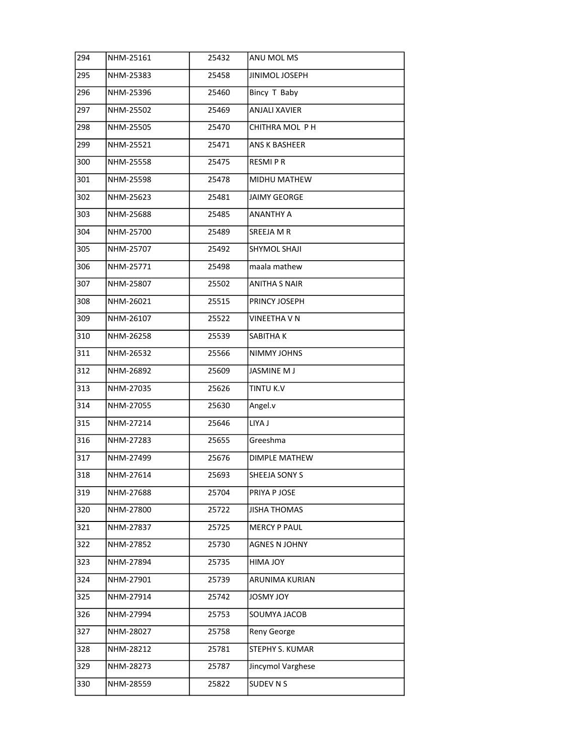| 294 | NHM-25161 | 25432 | ANU MOL MS           |
|-----|-----------|-------|----------------------|
| 295 | NHM-25383 | 25458 | JINIMOL JOSEPH       |
| 296 | NHM-25396 | 25460 | Bincy T Baby         |
| 297 | NHM-25502 | 25469 | <b>ANJALI XAVIER</b> |
| 298 | NHM-25505 | 25470 | CHITHRA MOL P H      |
| 299 | NHM-25521 | 25471 | ANS K BASHEER        |
| 300 | NHM-25558 | 25475 | <b>RESMIPR</b>       |
| 301 | NHM-25598 | 25478 | MIDHU MATHEW         |
| 302 | NHM-25623 | 25481 | <b>JAIMY GEORGE</b>  |
| 303 | NHM-25688 | 25485 | ANANTHY A            |
| 304 | NHM-25700 | 25489 | SREEJA M R           |
| 305 | NHM-25707 | 25492 | SHYMOL SHAJI         |
| 306 | NHM-25771 | 25498 | maala mathew         |
| 307 | NHM-25807 | 25502 | <b>ANITHA S NAIR</b> |
| 308 | NHM-26021 | 25515 | PRINCY JOSEPH        |
| 309 | NHM-26107 | 25522 | VINEETHA V N         |
| 310 | NHM-26258 | 25539 | SABITHA K            |
| 311 | NHM-26532 | 25566 | NIMMY JOHNS          |
| 312 | NHM-26892 | 25609 | <b>JASMINE M J</b>   |
| 313 | NHM-27035 | 25626 | TINTU K.V            |
| 314 | NHM-27055 | 25630 | Angel.v              |
| 315 | NHM-27214 | 25646 | LIYA J               |
| 316 | NHM-27283 | 25655 | Greeshma             |
| 317 | NHM-27499 | 25676 | DIMPLE MATHEW        |
| 318 | NHM-27614 | 25693 | SHEEJA SONY S        |
| 319 | NHM-27688 | 25704 | PRIYA P JOSE         |
| 320 | NHM-27800 | 25722 | <b>JISHA THOMAS</b>  |
| 321 | NHM-27837 | 25725 | <b>MERCY P PAUL</b>  |
| 322 | NHM-27852 | 25730 | <b>AGNES N JOHNY</b> |
| 323 | NHM-27894 | 25735 | <b>YOL ANIH</b>      |
| 324 | NHM-27901 | 25739 | ARUNIMA KURIAN       |
| 325 | NHM-27914 | 25742 | <b>YOL YMSOL</b>     |
| 326 | NHM-27994 | 25753 | SOUMYA JACOB         |
| 327 | NHM-28027 | 25758 | Reny George          |
| 328 | NHM-28212 | 25781 | STEPHY S. KUMAR      |
| 329 | NHM-28273 | 25787 | Jincymol Varghese    |
| 330 | NHM-28559 | 25822 | SUDEV N S            |